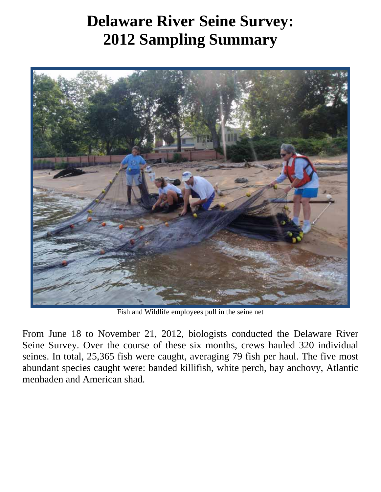## **Delaware River Seine Survey: 2012 Sampling Summary**



Fish and Wildlife employees pull in the seine net

From June 18 to November 21, 2012, biologists conducted the Delaware River Seine Survey. Over the course of these six months, crews hauled 320 individual seines. In total, 25,365 fish were caught, averaging 79 fish per haul. The five most abundant species caught were: banded killifish, white perch, bay anchovy, Atlantic menhaden and American shad.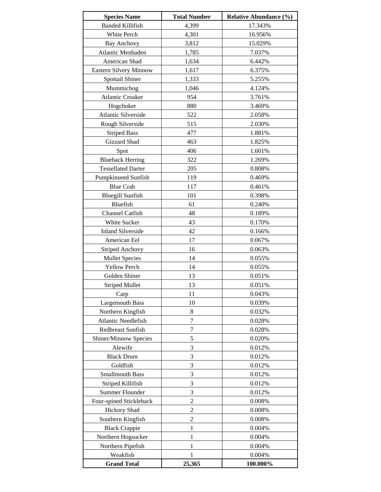| <b>Species Name</b>       | <b>Total Number</b> | <b>Relative Abundance (%)</b> |  |  |
|---------------------------|---------------------|-------------------------------|--|--|
| <b>Banded Killifish</b>   | 4,399               | 17.343%                       |  |  |
| White Perch               | 4,301               | 16.956%                       |  |  |
| Bay Anchovy               | 3,812               | 15.029%                       |  |  |
| Atlantic Menhaden         | 1,785               | 7.037%                        |  |  |
| American Shad             | 1,634               | 6.442%                        |  |  |
| Eastern Silvery Minnow    | 1,617               | 6.375%                        |  |  |
| Spottail Shiner           | 1,333               | 5.255%                        |  |  |
| Mummichog                 | 1,046               | 4.124%                        |  |  |
| <b>Atlantic Croaker</b>   | 954                 | 3.761%                        |  |  |
| Hogchoker                 | 880                 | 3.469%                        |  |  |
| Atlantic Silverside       | 522                 | 2.058%                        |  |  |
| Rough Silverside          | 515                 | 2.030%                        |  |  |
| <b>Striped Bass</b>       | 477                 | 1.881%                        |  |  |
| Gizzard Shad              | 463                 | 1.825%                        |  |  |
| Spot                      | 406                 | 1.601%                        |  |  |
| <b>Blueback Herring</b>   | 322                 | 1.269%                        |  |  |
| <b>Tessellated Darter</b> | 205                 | 0.808%                        |  |  |
|                           |                     |                               |  |  |
| Pumpkinseed Sunfish       | 119                 | 0.469%                        |  |  |
| <b>Blue Crab</b>          | 117                 | 0.461%                        |  |  |
| <b>Bluegill Sunfish</b>   | 101                 | 0.398%                        |  |  |
| Bluefish                  | 61                  | 0.240%                        |  |  |
| Channel Catfish           | 48                  | 0.189%                        |  |  |
| White Sucker              | 43                  | 0.170%                        |  |  |
| <b>Inland Silverside</b>  | 42                  | 0.166%                        |  |  |
| American Eel              | 17                  | 0.067%                        |  |  |
| <b>Striped Anchovy</b>    | 16                  | 0.063%                        |  |  |
| <b>Mullet Species</b>     | 14                  | 0.055%                        |  |  |
| <b>Yellow Perch</b>       | 14                  | 0.055%                        |  |  |
| Golden Shiner             | 13                  | 0.051%                        |  |  |
| <b>Striped Mullet</b>     | 13                  | 0.051%                        |  |  |
| Carp                      | 11                  | 0.043%                        |  |  |
| <b>Largemouth Bass</b>    | 10                  | 0.039%                        |  |  |
| Northern Kingfish         | 8                   | 0.032%                        |  |  |
| Atlantic Needlefish       | $\tau$              | 0.028%                        |  |  |
| Redbreast Sunfish         | 7                   | 0.028%                        |  |  |
| Shiner/Minnow Species     | 5                   | 0.020%                        |  |  |
| Alewife                   | 3                   | 0.012%                        |  |  |
| <b>Black Drum</b>         | 3                   | 0.012%                        |  |  |
| Goldfish                  | 3                   | 0.012%                        |  |  |
| <b>Smallmouth Bass</b>    | 3                   | 0.012%                        |  |  |
| Striped Killifish         | 3                   | 0.012%                        |  |  |
| Summer Flounder           | 3                   | 0.012%                        |  |  |
| Four-spined Stickleback   | $\mathfrak{2}$      | 0.008%                        |  |  |
| <b>Hickory Shad</b>       | $\overline{2}$      | 0.008%                        |  |  |
| Southern Kingfish         | $\overline{2}$      | 0.008%                        |  |  |
| <b>Black Crappie</b>      | 1                   | 0.004%                        |  |  |
| Northern Hogsucker        | 1                   | 0.004%                        |  |  |
| Northern Pipefish         | 1                   | 0.004%                        |  |  |
| Weakfish                  | 1                   | 0.004%                        |  |  |
| <b>Grand Total</b>        | 25,365              | 100.000%                      |  |  |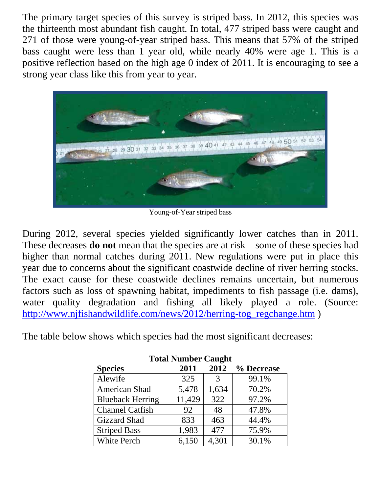The primary target species of this survey is striped bass. In 2012, this species was the thirteenth most abundant fish caught. In total, 477 striped bass were caught and 271 of those were young-of-year striped bass. This means that 57% of the striped bass caught were less than 1 year old, while nearly 40% were age 1. This is a positive reflection based on the high age 0 index of 2011. It is encouraging to see a strong year class like this from year to year.



Young-of-Year striped bass

During 2012, several species yielded significantly lower catches than in 2011. These decreases **do not** mean that the species are at risk – some of these species had higher than normal catches during 2011. New regulations were put in place this year due to concerns about the significant coastwide decline of river herring stocks. The exact cause for these coastwide declines remains uncertain, but numerous factors such as loss of spawning habitat, impediments to fish passage (i.e. dams), water quality degradation and fishing all likely played a role. (Source: http://www.njfishandwildlife.com/news/2012/herring-tog\_regchange.htm )

The table below shows which species had the most significant decreases:

| Total Number Caught     |        |       |            |  |  |
|-------------------------|--------|-------|------------|--|--|
| <b>Species</b>          | 2011   | 2012  | % Decrease |  |  |
| Alewife                 | 325    | 3     | 99.1%      |  |  |
| American Shad           | 5,478  | 1,634 | 70.2%      |  |  |
| <b>Blueback Herring</b> | 11,429 | 322   | 97.2%      |  |  |
| <b>Channel Catfish</b>  | 92     | 48    | 47.8%      |  |  |
| <b>Gizzard Shad</b>     | 833    | 463   | 44.4%      |  |  |
| <b>Striped Bass</b>     | 1,983  | 477   | 75.9%      |  |  |
| <b>White Perch</b>      | 6,150  | 4,301 | 30.1%      |  |  |

**Total Number Caught**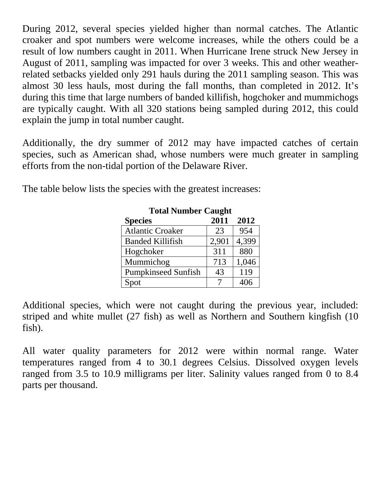During 2012, several species yielded higher than normal catches. The Atlantic croaker and spot numbers were welcome increases, while the others could be a result of low numbers caught in 2011. When Hurricane Irene struck New Jersey in August of 2011, sampling was impacted for over 3 weeks. This and other weatherrelated setbacks yielded only 291 hauls during the 2011 sampling season. This was almost 30 less hauls, most during the fall months, than completed in 2012. It's during this time that large numbers of banded killifish, hogchoker and mummichogs are typically caught. With all 320 stations being sampled during 2012, this could explain the jump in total number caught.

Additionally, the dry summer of 2012 may have impacted catches of certain species, such as American shad, whose numbers were much greater in sampling efforts from the non-tidal portion of the Delaware River.

The table below lists the species with the greatest increases:

| <b>Total Number Caught</b> |       |       |  |  |  |
|----------------------------|-------|-------|--|--|--|
| <b>Species</b>             | 2011  | 2012  |  |  |  |
| <b>Atlantic Croaker</b>    | 23    | 954   |  |  |  |
| <b>Banded Killifish</b>    | 2,901 | 4,399 |  |  |  |
| Hogchoker                  | 311   | 880   |  |  |  |
| Mummichog                  | 713   | 1,046 |  |  |  |
| <b>Pumpkinseed Sunfish</b> | 43    | 119   |  |  |  |
| Spot                       |       | 406   |  |  |  |

Additional species, which were not caught during the previous year, included: striped and white mullet (27 fish) as well as Northern and Southern kingfish (10 fish).

All water quality parameters for 2012 were within normal range. Water temperatures ranged from 4 to 30.1 degrees Celsius. Dissolved oxygen levels ranged from 3.5 to 10.9 milligrams per liter. Salinity values ranged from 0 to 8.4 parts per thousand.